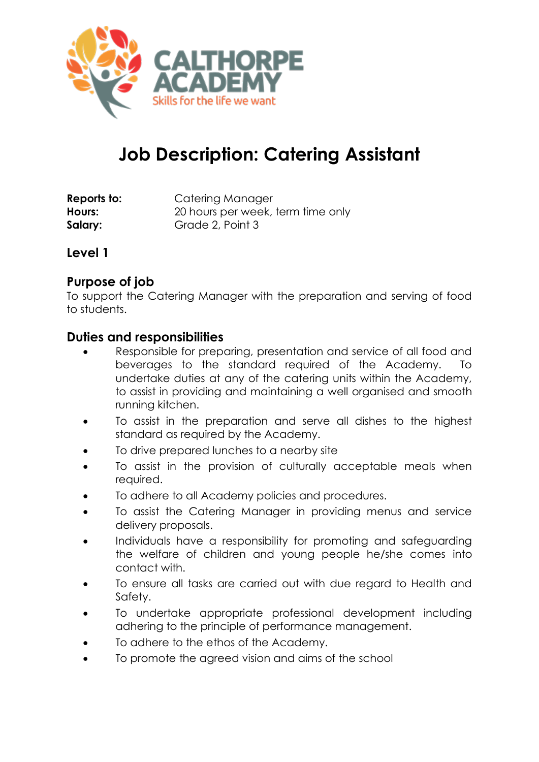

## **Job Description: Catering Assistant**

| Reports to: | Catering Manager                  |
|-------------|-----------------------------------|
| Hours:      | 20 hours per week, term time only |
| Salary:     | Grade 2, Point 3                  |

**Level 1**

## **Purpose of job**

To support the Catering Manager with the preparation and serving of food to students.

## **Duties and responsibilities**

- Responsible for preparing, presentation and service of all food and beverages to the standard required of the Academy. To undertake duties at any of the catering units within the Academy, to assist in providing and maintaining a well organised and smooth running kitchen.
- To assist in the preparation and serve all dishes to the highest standard as required by the Academy.
- To drive prepared lunches to a nearby site
- To assist in the provision of culturally acceptable meals when required.
- To adhere to all Academy policies and procedures.
- To assist the Catering Manager in providing menus and service delivery proposals.
- Individuals have a responsibility for promoting and safeguarding the welfare of children and young people he/she comes into contact with.
- To ensure all tasks are carried out with due regard to Health and Safety.
- To undertake appropriate professional development including adhering to the principle of performance management.
- To adhere to the ethos of the Academy.
- To promote the agreed vision and aims of the school